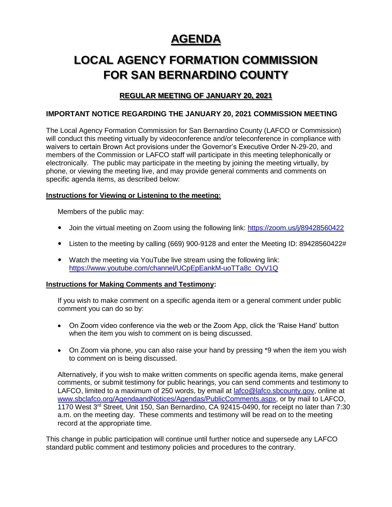# **AGENDA**

# **LOCAL AGENCY FORMATION COMMISSION FOR SAN BERNARDINO COUNTY**

## **REGULAR MEETING OF JANUARY 20, 2021**

## **IMPORTANT NOTICE REGARDING THE JANUARY 20, 2021 COMMISSION MEETING**

The Local Agency Formation Commission for San Bernardino County (LAFCO or Commission) will conduct this meeting virtually by videoconference and/or teleconference in compliance with waivers to certain Brown Act provisions under the Governor's Executive Order N-29-20, and members of the Commission or LAFCO staff will participate in this meeting telephonically or electronically. The public may participate in the meeting by joining the meeting virtually, by phone, or viewing the meeting live, and may provide general comments and comments on specific agenda items, as described below:

### **Instructions for Viewing or Listening to the meeting:**

Members of the public may:

- Join the virtual meeting on Zoom using the following link:<https://zoom.us/j/89428560422>
- Listen to the meeting by calling (669) 900-9128 and enter the Meeting ID: 89428560422#
- Watch the meeting via YouTube live stream using the following link: [https://www.youtube.com/channel/UCpEpEankM-uoTTa8c\\_OyV1Q](https://www.youtube.com/channel/UCpEpEankM-uoTTa8c_OyV1Q)

#### **Instructions for Making Comments and Testimony:**

If you wish to make comment on a specific agenda item or a general comment under public comment you can do so by:

- On Zoom video conference via the web or the Zoom App, click the 'Raise Hand' button when the item you wish to comment on is being discussed.
- On Zoom via phone, you can also raise your hand by pressing \*9 when the item you wish to comment on is being discussed.

Alternatively, if you wish to make written comments on specific agenda items, make general comments, or submit testimony for public hearings, you can send comments and testimony to LAFCO, limited to a maximum of 250 words, by email at [lafco@lafco.sbcounty.gov,](mailto:lafco@lafco.sbcounty.gov) online at [www.sbclafco.org/AgendaandNotices/Agendas/PublicComments.aspx,](http://www.sbclafco.org/AgendaandNotices/Agendas/PublicComments.aspx) or by mail to LAFCO, 1170 West 3rd Street, Unit 150, San Bernardino, CA 92415-0490, for receipt no later than 7:30 a.m. on the meeting day. These comments and testimony will be read on to the meeting record at the appropriate time.

This change in public participation will continue until further notice and supersede any LAFCO standard public comment and testimony policies and procedures to the contrary.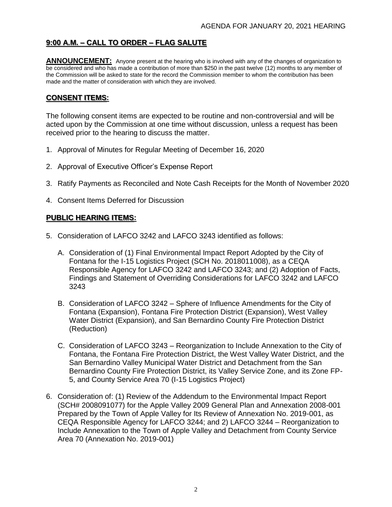## **9:00 A.M. – CALL TO ORDER – FLAG SALUTE**

**ANNOUNCEMENT:** Anyone present at the hearing who is involved with any of the changes of organization to be considered and who has made a contribution of more than \$250 in the past twelve (12) months to any member of the Commission will be asked to state for the record the Commission member to whom the contribution has been made and the matter of consideration with which they are involved.

## **CONSENT ITEMS:**

The following consent items are expected to be routine and non-controversial and will be acted upon by the Commission at one time without discussion, unless a request has been received prior to the hearing to discuss the matter.

- 1. Approval of Minutes for Regular Meeting of December 16, 2020
- 2. Approval of Executive Officer's Expense Report
- 3. Ratify Payments as Reconciled and Note Cash Receipts for the Month of November 2020
- 4. Consent Items Deferred for Discussion

## **PUBLIC HEARING ITEMS:**

- 5. Consideration of LAFCO 3242 and LAFCO 3243 identified as follows:
	- A. Consideration of (1) Final Environmental Impact Report Adopted by the City of Fontana for the I-15 Logistics Project (SCH No. 2018011008), as a CEQA Responsible Agency for LAFCO 3242 and LAFCO 3243; and (2) Adoption of Facts, Findings and Statement of Overriding Considerations for LAFCO 3242 and LAFCO 3243
	- B. Consideration of LAFCO 3242 Sphere of Influence Amendments for the City of Fontana (Expansion), Fontana Fire Protection District (Expansion), West Valley Water District (Expansion), and San Bernardino County Fire Protection District (Reduction)
	- C. Consideration of LAFCO 3243 Reorganization to Include Annexation to the City of Fontana, the Fontana Fire Protection District, the West Valley Water District, and the San Bernardino Valley Municipal Water District and Detachment from the San Bernardino County Fire Protection District, its Valley Service Zone, and its Zone FP-5, and County Service Area 70 (I-15 Logistics Project)
- 6. Consideration of: (1) Review of the Addendum to the Environmental Impact Report (SCH# 2008091077) for the Apple Valley 2009 General Plan and Annexation 2008-001 Prepared by the Town of Apple Valley for Its Review of Annexation No. 2019-001, as CEQA Responsible Agency for LAFCO 3244; and 2) LAFCO 3244 – Reorganization to Include Annexation to the Town of Apple Valley and Detachment from County Service Area 70 (Annexation No. 2019-001)